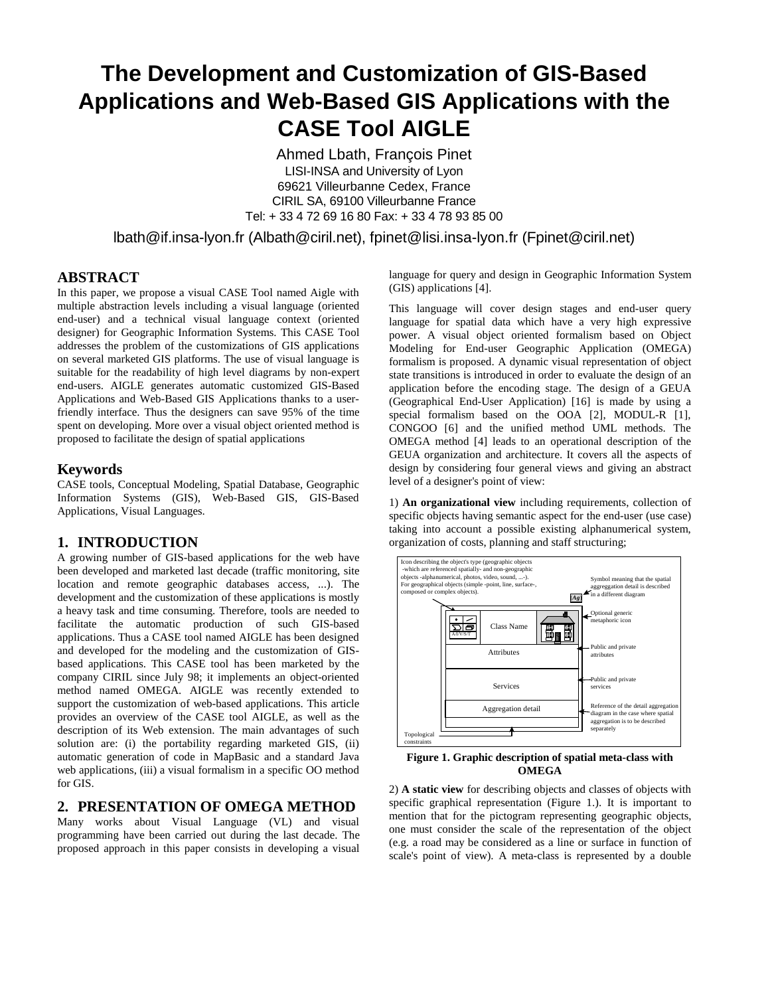# **The Development and Customization of GIS-Based Applications and Web-Based GIS Applications with the CASE Tool AIGLE**

Ahmed Lbath, François Pinet LISI-INSA and University of Lyon 69621 Villeurbanne Cedex, France CIRIL SA, 69100 Villeurbanne France Tel: + 33 4 72 69 16 80 Fax: + 33 4 78 93 85 00

lbath@if.insa-lyon.fr (Albath@ciril.net), fpinet@lisi.insa-lyon.fr (Fpinet@ciril.net)

## **ABSTRACT**

In this paper, we propose a visual CASE Tool named Aigle with multiple abstraction levels including a visual language (oriented end-user) and a technical visual language context (oriented designer) for Geographic Information Systems. This CASE Tool addresses the problem of the customizations of GIS applications on several marketed GIS platforms. The use of visual language is suitable for the readability of high level diagrams by non-expert end-users. AIGLE generates automatic customized GIS-Based Applications and Web-Based GIS Applications thanks to a userfriendly interface. Thus the designers can save 95% of the time spent on developing. More over a visual object oriented method is proposed to facilitate the design of spatial applications

#### **Keywords**

CASE tools, Conceptual Modeling, Spatial Database, Geographic Information Systems (GIS), Web-Based GIS, GIS-Based Applications, Visual Languages.

# **1. INTRODUCTION**

A growing number of GIS-based applications for the web have been developed and marketed last decade (traffic monitoring, site location and remote geographic databases access, ...). The development and the customization of these applications is mostly a heavy task and time consuming. Therefore, tools are needed to facilitate the automatic production of such GIS-based applications. Thus a CASE tool named AIGLE has been designed and developed for the modeling and the customization of GISbased applications. This CASE tool has been marketed by the company CIRIL since July 98; it implements an object-oriented method named OMEGA. AIGLE was recently extended to support the customization of web-based applications. This article provides an overview of the CASE tool AIGLE, as well as the description of its Web extension. The main advantages of such solution are: (i) the portability regarding marketed GIS, (ii) automatic generation of code in MapBasic and a standard Java web applications, (iii) a visual formalism in a specific OO method for GIS.

### **2. PRESENTATION OF OMEGA METHOD**

Many works about Visual Language (VL) and visual programming have been carried out during the last decade. The proposed approach in this paper consists in developing a visual

language for query and design in Geographic Information System (GIS) applications [4].

This language will cover design stages and end-user query language for spatial data which have a very high expressive power. A visual object oriented formalism based on Object Modeling for End-user Geographic Application (OMEGA) formalism is proposed. A dynamic visual representation of object state transitions is introduced in order to evaluate the design of an application before the encoding stage. The design of a GEUA (Geographical End-User Application) [16] is made by using a special formalism based on the OOA [2], MODUL-R [1], CONGOO [6] and the unified method UML methods. The OMEGA method [4] leads to an operational description of the GEUA organization and architecture. It covers all the aspects of design by considering four general views and giving an abstract level of a designer's point of view:

1) **An organizational view** including requirements, collection of specific objects having semantic aspect for the end-user (use case) taking into account a possible existing alphanumerical system, organization of costs, planning and staff structuring;



**Figure 1. Graphic description of spatial meta-class with OMEGA**

2) **A static view** for describing objects and classes of objects with specific graphical representation (Figure 1.). It is important to mention that for the pictogram representing geographic objects, one must consider the scale of the representation of the object (e.g. a road may be considered as a line or surface in function of scale's point of view). A meta-class is represented by a double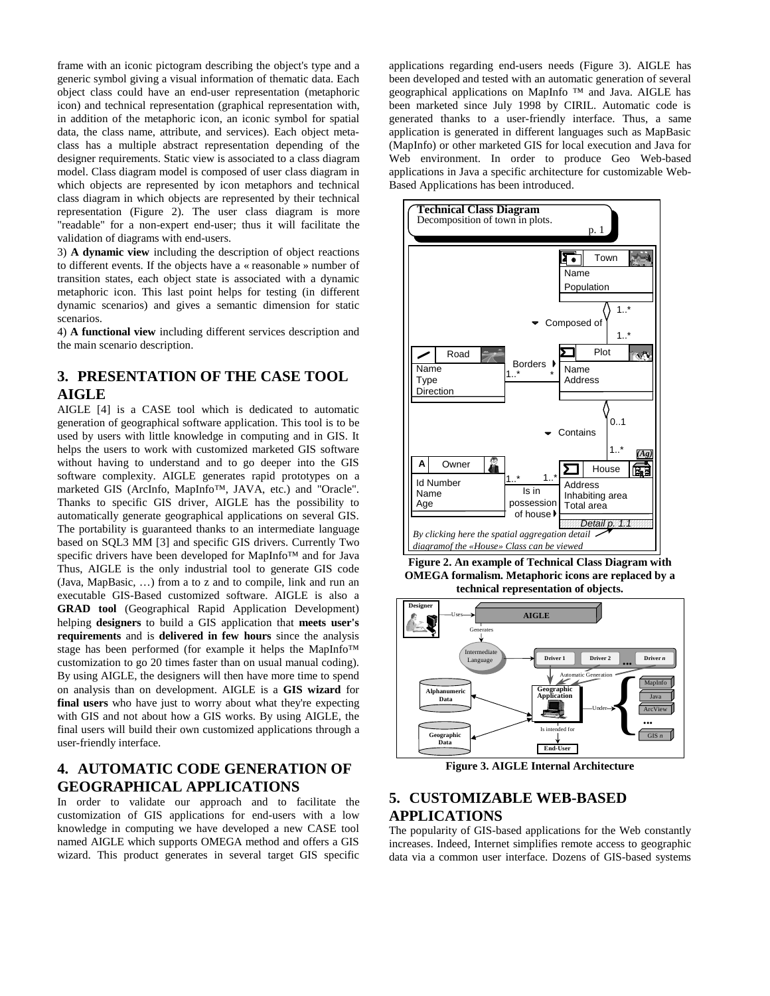frame with an iconic pictogram describing the object's type and a generic symbol giving a visual information of thematic data. Each object class could have an end-user representation (metaphoric icon) and technical representation (graphical representation with, in addition of the metaphoric icon, an iconic symbol for spatial data, the class name, attribute, and services). Each object metaclass has a multiple abstract representation depending of the designer requirements. Static view is associated to a class diagram model. Class diagram model is composed of user class diagram in which objects are represented by icon metaphors and technical class diagram in which objects are represented by their technical representation (Figure 2). The user class diagram is more "readable" for a non-expert end-user; thus it will facilitate the validation of diagrams with end-users.

3) **A dynamic view** including the description of object reactions to different events. If the objects have a « reasonable » number of transition states, each object state is associated with a dynamic metaphoric icon. This last point helps for testing (in different dynamic scenarios) and gives a semantic dimension for static scenarios.

4) **A functional view** including different services description and the main scenario description.

# **3. PRESENTATION OF THE CASE TOOL AIGLE**

AIGLE [4] is a CASE tool which is dedicated to automatic generation of geographical software application. This tool is to be used by users with little knowledge in computing and in GIS. It helps the users to work with customized marketed GIS software without having to understand and to go deeper into the GIS software complexity. AIGLE generates rapid prototypes on a marketed GIS (ArcInfo, MapInfo™, JAVA, etc.) and "Oracle". Thanks to specific GIS driver, AIGLE has the possibility to automatically generate geographical applications on several GIS. The portability is guaranteed thanks to an intermediate language based on SQL3 MM [3] and specific GIS drivers. Currently Two specific drivers have been developed for MapInfo™ and for Java Thus, AIGLE is the only industrial tool to generate GIS code (Java, MapBasic, …) from a to z and to compile, link and run an executable GIS-Based customized software. AIGLE is also a **GRAD tool** (Geographical Rapid Application Development) helping **designers** to build a GIS application that **meets user's requirements** and is **delivered in few hours** since the analysis stage has been performed (for example it helps the MapInfo™ customization to go 20 times faster than on usual manual coding). By using AIGLE, the designers will then have more time to spend on analysis than on development. AIGLE is a **GIS wizard** for **final users** who have just to worry about what they're expecting with GIS and not about how a GIS works. By using AIGLE, the final users will build their own customized applications through a user-friendly interface.

## **4. AUTOMATIC CODE GENERATION OF GEOGRAPHICAL APPLICATIONS**

In order to validate our approach and to facilitate the customization of GIS applications for end-users with a low knowledge in computing we have developed a new CASE tool named AIGLE which supports OMEGA method and offers a GIS wizard. This product generates in several target GIS specific

applications regarding end-users needs (Figure 3). AIGLE has been developed and tested with an automatic generation of several geographical applications on MapInfo ™ and Java. AIGLE has been marketed since July 1998 by CIRIL. Automatic code is generated thanks to a user-friendly interface. Thus, a same application is generated in different languages such as MapBasic (MapInfo) or other marketed GIS for local execution and Java for Web environment. In order to produce Geo Web-based applications in Java a specific architecture for customizable Web-Based Applications has been introduced.



**Figure 2. An example of Technical Class Diagram with OMEGA formalism. Metaphoric icons are replaced by a technical representation of objects.**



**Figure 3. AIGLE Internal Architecture**

# **5. CUSTOMIZABLE WEB-BASED APPLICATIONS**

The popularity of GIS-based applications for the Web constantly increases. Indeed, Internet simplifies remote access to geographic data via a common user interface. Dozens of GIS-based systems